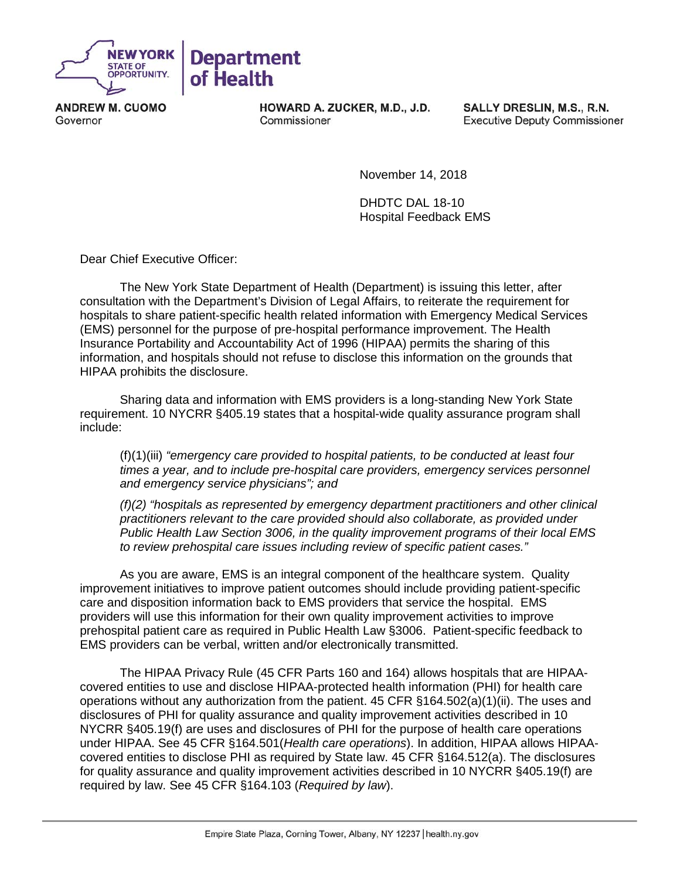

**ANDREW M. CUOMO** Governor

HOWARD A. ZUCKER, M.D., J.D. Commissioner

SALLY DRESLIN, M.S., R.N. **Executive Deputy Commissioner** 

November 14, 2018

DHDTC DAL 18-10 Hospital Feedback EMS

Dear Chief Executive Officer:

The New York State Department of Health (Department) is issuing this letter, after consultation with the Department's Division of Legal Affairs, to reiterate the requirement for hospitals to share patient-specific health related information with Emergency Medical Services (EMS) personnel for the purpose of pre-hospital performance improvement. The Health Insurance Portability and Accountability Act of 1996 (HIPAA) permits the sharing of this information, and hospitals should not refuse to disclose this information on the grounds that HIPAA prohibits the disclosure.

Sharing data and information with EMS providers is a long-standing New York State requirement. 10 NYCRR §405.19 states that a hospital-wide quality assurance program shall include:

(f)(1)(iii) *"emergency care provided to hospital patients, to be conducted at least four times a year, and to include pre-hospital care providers, emergency services personnel and emergency service physicians"; and*

*(f)(2) "hospitals as represented by emergency department practitioners and other clinical practitioners relevant to the care provided should also collaborate, as provided under Public Health Law Section 3006, in the quality improvement programs of their local EMS to review prehospital care issues including review of specific patient cases."*

As you are aware, EMS is an integral component of the healthcare system. Quality improvement initiatives to improve patient outcomes should include providing patient-specific care and disposition information back to EMS providers that service the hospital. EMS providers will use this information for their own quality improvement activities to improve prehospital patient care as required in Public Health Law §3006. Patient-specific feedback to EMS providers can be verbal, written and/or electronically transmitted.

The HIPAA Privacy Rule (45 CFR Parts 160 and 164) allows hospitals that are HIPAAcovered entities to use and disclose HIPAA-protected health information (PHI) for health care operations without any authorization from the patient. 45 CFR §164.502(a)(1)(ii). The uses and disclosures of PHI for quality assurance and quality improvement activities described in 10 NYCRR §405.19(f) are uses and disclosures of PHI for the purpose of health care operations under HIPAA. See 45 CFR §164.501(*Health care operations*). In addition, HIPAA allows HIPAAcovered entities to disclose PHI as required by State law. 45 CFR §164.512(a). The disclosures for quality assurance and quality improvement activities described in 10 NYCRR §405.19(f) are required by law. See 45 CFR §164.103 (*Required by law*).